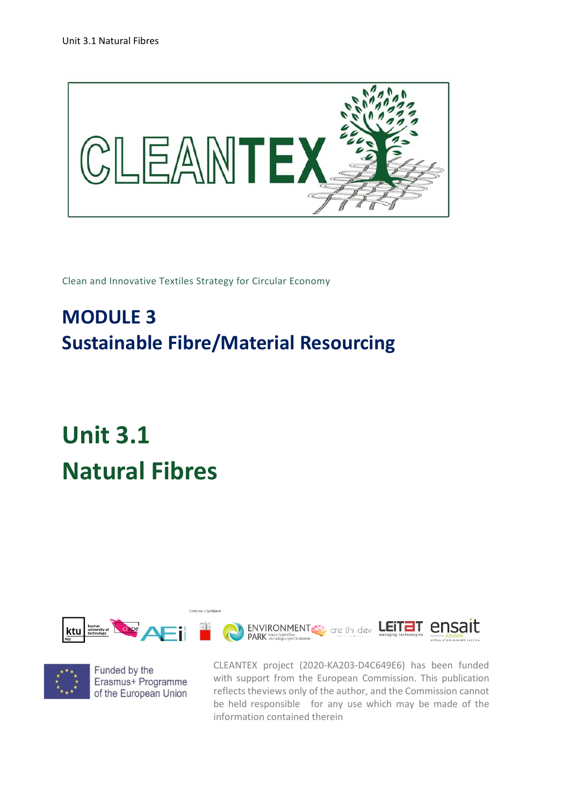

Clean and Innovative Textiles Strategy for Circular Economy

## **MODULE 3 Sustainable Fibre/Material Resourcing**

## **Unit 3.1 Natural Fibres**



Univerza v Ljubljan



Funded by the Erasmus+ Programme of the European Union CLEANTEX project (2020-KA203-D4C649E6) has been funded with support from the European Commission. This publication reflects theviews only of the author, and the Commission cannot be held responsible for any use which may be made of the information contained therein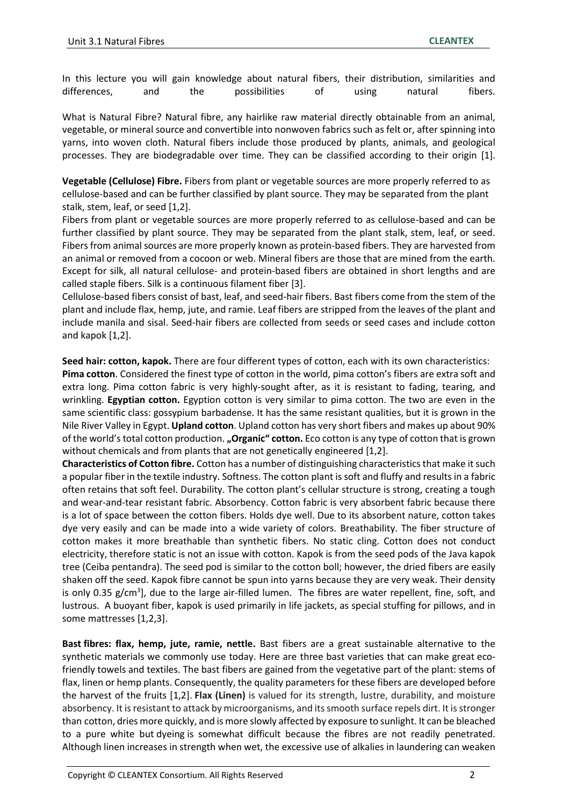In this lecture you will gain knowledge about natural fibers, their distribution, similarities and differences, and the possibilities of using natural fibers.

What is Natural Fibre? Natural fibre, any hairlike raw material directly obtainable from an animal, vegetable, or mineral source and convertible into nonwoven fabrics such as felt or, after spinning into yarns, into woven cloth. Natural fibers include those produced by plants, animals, and geological processes. They are biodegradable over time. They can be classified according to their origin [1].

**Vegetable (Cellulose) Fibre.** Fibers from plant or vegetable sources are more properly referred to as cellulose-based and can be further classified by plant source. They may be separated from the plant stalk, stem, leaf, or seed [1,2].

Fibers from plant or vegetable sources are more properly referred to as cellulose-based and can be further classified by plant source. They may be separated from the plant stalk, stem, leaf, or seed. Fibers from animal sources are more properly known as protein-based fibers. They are harvested from an animal or removed from a cocoon or web. Mineral fibers are those that are mined from the earth. Except for silk, all natural cellulose- and protein-based fibers are obtained in short lengths and are called staple fibers. Silk is a continuous filament fiber [3].

Cellulose-based fibers consist of bast, leaf, and seed-hair fibers. Bast fibers come from the stem of the plant and include flax, hemp, jute, and ramie. Leaf fibers are stripped from the leaves of the plant and include manila and sisal. Seed-hair fibers are collected from seeds or seed cases and include cotton and kapok [1,2].

**Seed hair: cotton, kapok.** There are four different types of cotton, each with its own characteristics: **Pima cotton**. Considered the finest type of cotton in the world, pima cotton's fibers are extra soft and extra long. Pima cotton fabric is very highly-sought after, as it is resistant to fading, tearing, and wrinkling. **Egyptian cotton.** Egyption cotton is very similar to pima cotton. The two are even in the same scientific class: gossypium barbadense. It has the same resistant qualities, but it is grown in the Nile River Valley in Egypt. **Upland cotton**. Upland cotton has very short fibers and makes up about 90% of the world's total cotton production. **"Organic" cotton.** Eco cotton is any type of cotton that is grown without chemicals and from plants that are not genetically engineered [1,2].

**Characteristics of Cotton fibre.** Cotton has a number of distinguishing characteristics that make it such a popular fiber in the textile industry. Softness. The cotton plant is soft and fluffy and results in a fabric often retains that soft feel. Durability. The cotton plant's cellular structure is strong, creating a tough and wear-and-tear resistant fabric. Absorbency. Cotton fabric is very absorbent fabric because there is a lot of space between the cotton fibers. Holds dye well. Due to its absorbent nature, cotton takes dye very easily and can be made into a wide variety of colors. Breathability. The fiber structure of cotton makes it more breathable than synthetic fibers. No static cling. Cotton does not conduct electricity, therefore static is not an issue with cotton. [Kapok](http://gpktt.weebly.com/kapok.html) is from the seed pods of the Java kapok tree (Ceiba pentandra). The seed pod is similar to the cotton boll; however, the dried fibers are easily shaken off the seed. Kapok fibre cannot be spun into yarns because they are very weak. Their density is only 0.35 g/cm<sup>3</sup>], due to the large air-filled lumen. The fibres are water repellent, fine, soft, and lustrous. A buoyant fiber, kapok is used primarily in life jackets, as special stuffing for pillows, and in some mattresses [1,2,3].

**Bast fibres: flax, hemp, jute, ramie, nettle.** Bast fibers are a great sustainable alternative to the synthetic materials we commonly use today. Here are three bast varieties that can make great ecofriendly towels and textiles. The bast fibers are gained from the vegetative part of the plant: stems of flax, linen or hemp plants. Consequently, the quality parameters for these fibers are developed before the harvest of the fruits [1,2]. **Flax (Linen)** is valued for its strength, lustre, durability, and moisture absorbency. It is resistant to attack by microorganisms, and its smooth surface repels dirt. It is stronger than [cotton,](https://www.britannica.com/topic/cotton-fibre-and-plant) dries more quickly, and is more slowly affected by exposure to sunlight. It can be bleached to a pure white but [dyeing](https://www.britannica.com/technology/dye-transfer-process) is somewhat difficult because the fibres are not readily penetrated. Although linen increases in strength when wet, the excessive use of alkalies in laundering can weaken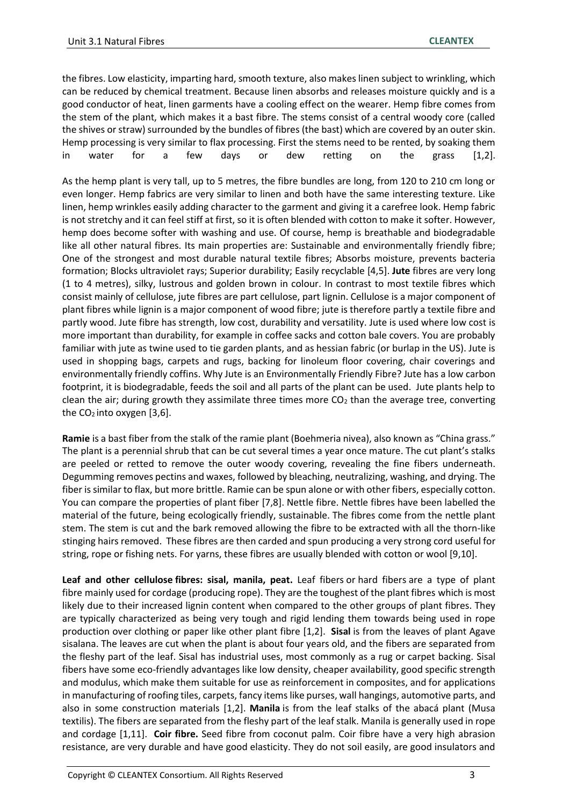the fibres. Low elasticity, imparting hard, smooth texture, also makes linen subject to wrinkling, which can be reduced by chemical treatment. Because linen absorbs and releases moisture quickly and is a good conductor of heat, linen garments have a cooling effect on the wearer. Hemp fibre comes from the stem of the plant, which makes it a bast fibre. The stems consist of a central woody core (called the shives or straw) surrounded by the bundles of fibres (the bast) which are covered by an outer skin. Hemp processing is very similar to flax processing. First the stems need to be rented, by soaking them in water for a few days or dew retting on the grass [1,2].

As the hemp plant is very tall, up to 5 metres, the fibre bundles are long, from 120 to 210 cm long or even longer. Hemp fabrics are very similar to linen and both have the same interesting texture. Like linen, hemp wrinkles easily adding character to the garment and giving it a carefree look. Hemp fabric is not stretchy and it can feel stiff at first, so it is often blended with cotton to make it softer. However, hemp does become softer with washing and use. Of course, hemp is breathable and biodegradable like all other natural fibres. Its main properties are: Sustainable and environmentally friendly fibre; One of the strongest and most durable natural textile fibres; Absorbs moisture, prevents bacteria formation; Blocks ultraviolet rays; Superior durability; Easily recyclable [4,5]. **Jute** fibres are very long (1 to 4 metres), silky, lustrous and golden brown in colour. In contrast to most textile fibres which consist mainly of cellulose, jute fibres are part cellulose, part lignin. Cellulose is a major component of plant fibres while lignin is a major component of wood fibre; jute is therefore partly a textile fibre and partly wood. Jute fibre has strength, low cost, durability and versatility. Jute is used where low cost is more important than durability, for example in coffee sacks and cotton bale covers. You are probably familiar with jute as twine used to tie garden plants, and as hessian fabric (or burlap in the US). Jute is used in shopping bags, carpets and rugs, backing for linoleum floor covering, chair coverings and environmentally friendly coffins. Why Jute is an Environmentally Friendly Fibre? Jute has a low carbon footprint, it is biodegradable, feeds the soil and all parts of the plant can be used. Jute plants help to clean the air; during growth they assimilate three times more  $CO<sub>2</sub>$  than the average tree, converting the  $CO<sub>2</sub>$  into oxygen [3,6].

**Ramie** is a bast fiber from the stalk of the ramie plant (Boehmeria nivea), also known as "China grass." The plant is a perennial shrub that can be cut several times a year once mature. The cut plant's stalks are peeled or retted to remove the outer woody covering, revealing the fine fibers underneath. Degumming removes pectins and waxes, followed by bleaching, neutralizing, washing, and drying. The fiber is similar to flax, but more brittle. Ramie can be spun alone or with other fibers, especially cotton. You can compare the properties of plant fiber [7,8]. Nettle fibre. Nettle fibres have been labelled the material of the future, being ecologically friendly, sustainable. The fibres come from the nettle plant stem. The stem is cut and the bark removed allowing the fibre to be extracted with all the thorn-like stinging hairs removed. These fibres are then carded and spun producing a very strong cord useful for string, rope or fishing nets. For yarns, these fibres are usually blended with cotton or wool [9,10].

**Leaf and other cellulose fibres: sisal, manila, peat.** Leaf fibers or hard fibers are a type of plant fibre mainly used for cordage (producing rope). They are the toughest of the plant fibres which is most likely due to their increased lignin content when compared to the other groups of plant fibres. They are typically characterized as being very tough and rigid lending them towards being used in rope production over clothing or paper like other plant fibre [1,2]. **Sisal** is from the leaves of plant Agave sisalana. The leaves are cut when the plant is about four years old, and the fibers are separated from the fleshy part of the leaf. Sisal has industrial uses, most commonly as a rug or carpet backing. Sisal fibers have some eco-friendly advantages like low density, cheaper availability, good specific strength and modulus, which make them suitable for use as reinforcement in composites, and for applications in manufacturing of roofing tiles, carpets, fancy items like purses, wall hangings, automotive parts, and also in some construction materials [1,2]. **Manila** is from the leaf stalks of the abacá plant (Musa textilis). The fibers are separated from the fleshy part of the leaf stalk. Manila is generally used in rope and cordage [1,11]. **Coir fibre.** Seed fibre from coconut palm. Coir fibre have a very high abrasion resistance, are very durable and have good elasticity. They do not soil easily, are good insulators and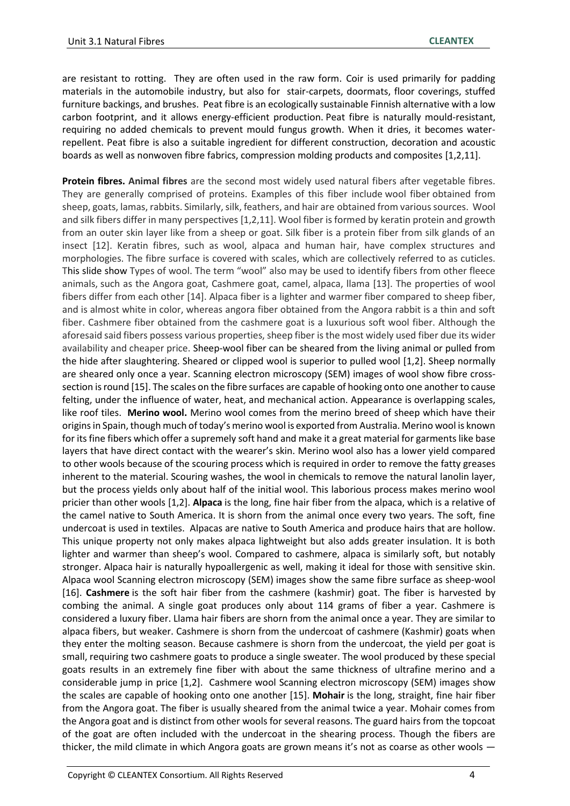are resistant to rotting. They are often used in the raw form. Coir is used primarily for padding materials in the automobile industry, but also for stair-carpets, doormats, floor coverings, stuffed furniture backings, and brushes. Peat fibre is an ecologically sustainable Finnish alternative with a low carbon footprint, and it allows energy-efficient production. Peat fibre is naturally mould-resistant, requiring no added chemicals to prevent mould fungus growth. When it dries, it becomes waterrepellent. Peat fibre is also a suitable ingredient for different construction, decoration and acoustic boards as well as nonwoven fibre fabrics, compression molding products and composites [1,2,11].

**Protein fibres. Animal fibres** are the second most widely used natural fibers after vegetable fibres. They are generally comprised of proteins. Examples of this fiber include [wool fiber](https://www.sciencedirect.com/topics/materials-science/wool-fiber) obtained from sheep, goats, lamas, rabbits. Similarly, silk, feathers, and hair are obtained from various sources. Wool and silk fibers differ in many perspectives [1,2,11]. Wool fiber is formed by keratin protein and growth from an outer skin layer like from a sheep or goat. Silk fiber is a protein fiber from silk glands of an insect [12]. Keratin fibres, such as wool, alpaca and human hair, have complex structures and morphologies. The fibre surface is covered with scales, which are collectively referred to as cuticles. This slide show Types of wool. The term "wool" also may be used to identify fibers from other fleece animals, such as the Angora goat, Cashmere goat, camel, alpaca, llama [13]. The properties of wool fibers differ from each other [14]. Alpaca fiber is a lighter and warmer fiber compared to sheep fiber, and is almost white in color, whereas angora fiber obtained from the Angora rabbit is a thin and soft fiber. Cashmere fiber obtained from the cashmere goat is a luxurious soft wool fiber. Although the aforesaid said fibers possess various properties, sheep fiber is the most widely used fiber due its wider availability and cheaper price. Sheep-wool fiber can be sheared from the living animal or pulled from the hide after slaughtering. Sheared or clipped wool is superior to pulled wool [1,2]. Sheep normally are sheared only once a year. Scanning electron microscopy (SEM) images of wool show fibre crosssection is round [15]. The scales on the fibre surfaces are capable of hooking onto one another to cause felting, under the influence of water, heat, and mechanical action. Appearance is overlapping scales, like roof tiles. **Merino wool.** Merino wool comes from the merino breed of sheep which have their origins in Spain, though much of today's merino wool is exported from Australia. Merino wool is known for its fine fibers which offer a supremely soft hand and make it a great material for garments like base layers that have direct contact with the wearer's skin. Merino wool also has a lower yield compared to other wools because of the scouring process which is required in order to remove the fatty greases inherent to the material. Scouring washes, the wool in chemicals to remove the natural lanolin layer, but the process yields only about half of the initial wool. This laborious process makes merino wool pricier than other wools [1,2]. **Alpaca** is the long, fine hair fiber from the alpaca, which is a relative of the camel native to South America. It is shorn from the animal once every two years. The soft, fine undercoat is used in textiles. Alpacas are native to South America and produce hairs that are hollow. This unique property not only makes alpaca lightweight but also adds greater insulation. It is both lighter and warmer than sheep's wool. Compared to cashmere, alpaca is similarly soft, but notably stronger. Alpaca hair is naturally hypoallergenic as well, making it ideal for those with sensitive skin. Alpaca wool Scanning electron microscopy (SEM) images show the same fibre surface as sheep-wool [16]. **Cashmere** is the soft hair fiber from the cashmere (kashmir) goat. The fiber is harvested by combing the animal. A single goat produces only about 114 grams of fiber a year. Cashmere is considered a luxury fiber. Llama hair fibers are shorn from the animal once a year. They are similar to alpaca fibers, but weaker. Cashmere is shorn from the undercoat of cashmere (Kashmir) goats when they enter the molting season. Because cashmere is shorn from the undercoat, the yield per goat is small, requiring two cashmere goats to produce a single sweater. The wool produced by these special goats results in an extremely fine fiber with about the same thickness of ultrafine merino and a considerable jump in price [1,2]. Cashmere wool Scanning electron microscopy (SEM) images show the scales are capable of hooking onto one another [15]. **Mohair** is the long, straight, fine hair fiber from the Angora goat. The fiber is usually sheared from the animal twice a year. Mohair comes from the Angora goat and is distinct from other wools for several reasons. The guard hairs from the topcoat of the goat are often included with the undercoat in the shearing process. Though the fibers are thicker, the mild climate in which Angora goats are grown means it's not as coarse as other wools -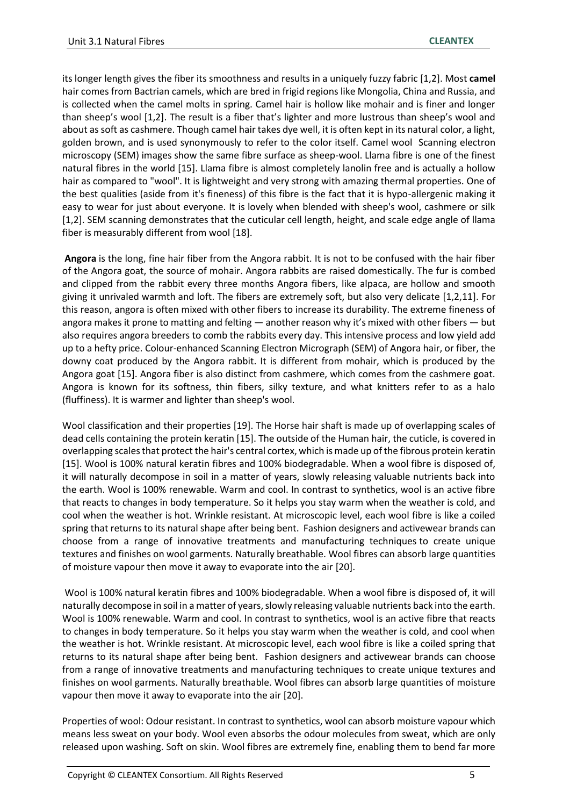its longer length gives the fiber its smoothness and results in a uniquely fuzzy fabric [1,2]. Most **camel**  hair comes from Bactrian camels, which are bred in frigid regions like Mongolia, China and Russia, and is collected when the camel molts in spring. Camel hair is hollow like mohair and is finer and longer than sheep's wool [1,2]. The result is a fiber that's lighter and more lustrous than sheep's wool and about as soft as cashmere. Though camel hair takes dye well, it is often kept in its natural color, a light, golden brown, and is used synonymously to refer to the color itself. Camel wool [Scanning electron](https://www.researchgate.net/figure/Scanning-electron-microscopy-SEM-images-of-a-commercial-MCC-and-b-DMCC_fig4_355826846)  [microscopy \(SEM\) images](https://www.researchgate.net/figure/Scanning-electron-microscopy-SEM-images-of-a-commercial-MCC-and-b-DMCC_fig4_355826846) show the same fibre surface as sheep-wool. Llama fibre is one of the finest natural fibres in the world [15]. Llama fibre is almost completely lanolin free and is actually a hollow hair as compared to "wool". It is lightweight and very strong with amazing thermal properties. One of the best qualities (aside from it's fineness) of this fibre is the fact that it is hypo-allergenic making it easy to wear for just about everyone. It is lovely when blended with sheep's wool, cashmere or silk [1,2]. SEM scanning demonstrates that the cuticular cell length, height, and scale edge angle of llama fiber is measurably different from wool [18].

**Angora** is the long, fine hair fiber from the Angora rabbit. It is not to be confused with the hair fiber of the Angora goat, the source of mohair. Angora rabbits are raised domestically. The fur is combed and clipped from the rabbit every three months Angora fibers, like alpaca, are hollow and smooth giving it unrivaled warmth and loft. The fibers are extremely soft, but also very delicate [1,2,11]. For this reason, angora is often mixed with other fibers to increase its durability. The extreme fineness of angora makes it prone to matting and felting — another reason why it's mixed with other fibers — but also requires angora breeders to comb the rabbits every day. This intensive process and low yield add up to a hefty price. Colour-enhanced Scanning Electron Micrograph (SEM) of Angora hair, or fiber, the downy coat produced by the Angora rabbit. It is different from mohair, which is produced by the Angora goat [15]. Angora fiber is also distinct from cashmere, which comes from the cashmere goat. Angora is known for its softness, thin fibers, silky texture, and what knitters refer to as a halo (fluffiness). It is warmer and lighter than sheep's wool.

Wool classification and their properties [19]. The Horse hair shaft is made up of overlapping scales of dead cells containing the protein keratin [15]. The outside of the Human hair, the cuticle, is covered in overlapping scales that protect the hair's central cortex, which is made up of the fibrous protein keratin [15]. Wool is 100% natural keratin fibres and 100% biodegradable. When a wool fibre is disposed of, it will naturally decompose in soil in a matter of years, slowly releasing valuable nutrients back into the earth. Wool is 100% renewable. Warm and cool. In contrast to synthetics, wool is an active fibre that reacts to changes in body temperature. So it helps you stay warm when the weather is cold, and cool when the weather is hot. Wrinkle resistant. At microscopic level, each wool fibre is like a coiled spring that returns to its natural shape after being bent. Fashion designers and activewear brands can choose from a range of innovative treatments and manufacturing techniques to create unique textures and finishes on wool garments. Naturally breathable. Wool fibres can absorb large quantities of moisture vapour then move it away to evaporate into the air [20].

Wool is 100% natural keratin fibres and 100% biodegradable. When a wool fibre is disposed of, it will naturally decompose in soil in a matter of years, slowly releasing valuable nutrients back into the earth. Wool is 100% renewable. Warm and cool. In contrast to synthetics, wool is an active fibre that reacts to changes in body temperature. So it helps you stay warm when the weather is cold, and cool when the weather is hot. Wrinkle resistant. At microscopic level, each wool fibre is like a coiled spring that returns to its natural shape after being bent. Fashion designers and activewear brands can choose from a range of innovative treatments and manufacturing techniques to create unique textures and finishes on wool garments. Naturally breathable. Wool fibres can absorb large quantities of moisture vapour then move it away to evaporate into the air [20].

Properties of wool: Odour resistant. In contrast to synthetics, wool can absorb moisture vapour which means less sweat on your body. Wool even absorbs the odour molecules from sweat, which are only released upon washing. Soft on skin. Wool fibres are extremely fine, enabling them to bend far more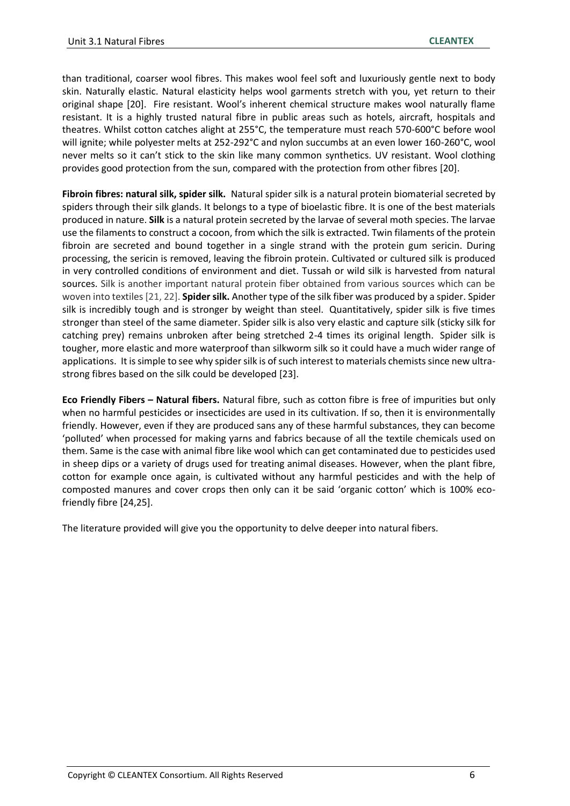than traditional, coarser wool fibres. This makes wool feel soft and luxuriously gentle next to body skin. Naturally elastic. Natural elasticity helps wool garments stretch with you, yet return to their original shape [20]. Fire resistant. Wool's inherent chemical structure makes wool naturally flame resistant. It is a highly trusted natural fibre in public areas such as hotels, aircraft, hospitals and theatres. Whilst cotton catches alight at 255°C, the temperature must reach 570-600°C before wool will ignite; while polyester melts at 252-292°C and nylon succumbs at an even lower 160-260°C, wool never melts so it can't stick to the skin like many common synthetics. UV resistant. Wool clothing provides good protection from the sun, compared with the protection from other fibres [20].

**Fibroin fibres: natural silk, spider silk.** Natural spider silk is a natural protein biomaterial secreted by spiders through their silk glands. It belongs to a type of bioelastic fibre. It is one of the best materials produced in nature. **[Silk](http://gpktt.weebly.com/silk-morfology.html)** is a natural protein secreted by the larvae of several moth species. The larvae use the filaments to construct a cocoon, from which the silk is extracted. Twin filaments of the protein fibroin are secreted and bound together in a single strand with the protein gum sericin. During processing, the sericin is removed, leaving the fibroin protein. Cultivated or cultured silk is produced in very controlled conditions of environment and diet. Tussah or wild silk is harvested from natural sources. Silk is another important natural protein fiber obtained from various sources which can be woven into textiles [21, 22]. **Spider silk.** Another type of the silk fiber was produced by a spider. Spider silk is incredibly tough and is stronger by weight than steel. Quantitatively, spider silk is five times stronger than steel of the same diameter. Spider silk is also very elastic and capture silk (sticky silk for catching prey) remains unbroken after being stretched 2-4 times its original length. Spider silk is tougher, more elastic and more waterproof than silkworm silk so it could have a much wider range of applications. It is simple to see why spider silk is of such interest to materials chemists since new ultrastrong fibres based on the silk could be developed [23].

**Eco Friendly Fibers – Natural fibers.** Natural fibre, such as cotton fibre is free of impurities but only when no harmful pesticides or insecticides are used in its cultivation. If so, then it is environmentally friendly. However, even if they are produced sans any of these harmful substances, they can become 'polluted' when processed for making yarns and fabrics because of all the textile chemicals used on them. Same is the case with animal fibre like wool which can get contaminated due to pesticides used in sheep dips or a variety of drugs used for treating animal diseases. However, when the plant fibre, cotton for example once again, is cultivated without any harmful pesticides and with the help of composted manures and cover crops then only can it be said 'organic cotton' which is 100% ecofriendly fibre [24,25].

The literature provided will give you the opportunity to delve deeper into natural fibers.